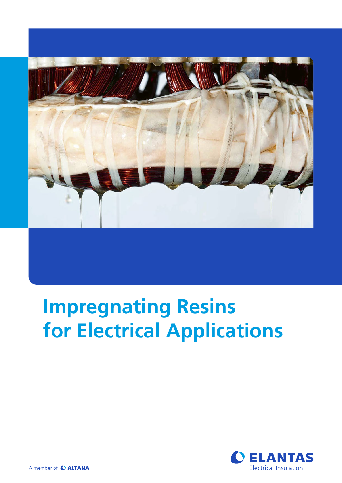

# **Impregnating Resins for Electrical Applications**

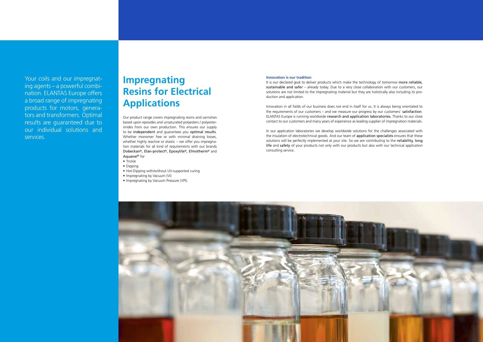#### **Innovation is our tradition**

It is our declared goal to deliver products which make the technology of tomorrow more reliable, sustainable and safer – already today. Due to a very close collaboration with our customers, our solutions are not limited to the impregnating material but they are holistically also including its production and application.

Innovation in all fields of our business does not end in itself for us. It is always being orientated to the requirements of our customers – and we measure our progress by our customers' satisfaction. ELANTAS Europe is running worldwide research and application laboratories. Thanks to our close contact to our customers and many years of experience as leading supplier of impregnation materials.

In our application laboratories we develop worldwide solutions for the challenges associated with the insulation of electrotechnical goods. And our team of application specialists ensures that these solutions will be perfectly implemented at your site. So we are contributing to the reliability, long life and safety of your products not only with our products but also with our technical application consulting service.



Your coils and our impregnating agents – a powerful combination. ELANTAS Europe offers a broad range of impregnating products for motors, generators and transformers. Optimal results are guaranteed due to our individual solutions and services.

Our product range covers impregnating resins and varnishes based upon epoxides and unsaturated polyesters / polyesterimides from our own production. This ensures our supply to be independent and guarantees you optimal results. Whether monomer free or with minimal draining losses, whether highly reactive or elastic – we offer you impregnation materials for all kind of requirements with our brands Dobeckan®, Elan-protect®, Epoxylite®, Elmotherm® and Aquanel® for

- Trickle
- Dipping
- Hot-Dipping with/without UV-supported curing
- Impregnating by Vacuum (VI)
- Impregnating by Vacuum Pressure (VPI).

# **Impregnating Resins for Electrical Applications**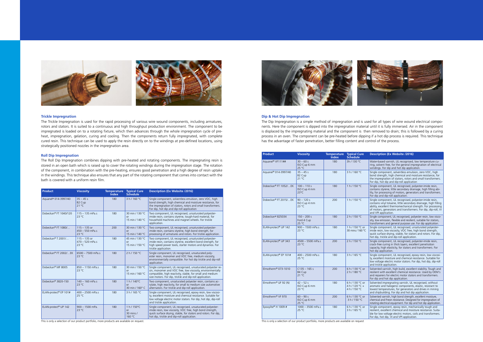#### **Dip & Hot Dip Impregnation**

The Dip Impregnation is a simple method of impregnation and is used for all types of wire wound electrical components. Here the component is dipped into the impregnation material until it is fully immersed. Air in the component is displaced by the impregnating material and the component is then removed to drain; this is followed by a curing process in an oven. The component can be pre-heated before dipping if a hot dip process is required. This technique has the advantage of faster penetration, better filling content and control of the process.

| <b>Product</b>                                                                            | <b>Viscosity</b>                                | <b>Temperature</b><br><b>Index</b> | <b>Typical Cure</b><br><b>Schedule</b>            | <b>Description (Ex Website /2016)</b>                                                                                                                                                                                                                                               |
|-------------------------------------------------------------------------------------------|-------------------------------------------------|------------------------------------|---------------------------------------------------|-------------------------------------------------------------------------------------------------------------------------------------------------------------------------------------------------------------------------------------------------------------------------------------|
| Aquanel® VF111##                                                                          | $30 - 60s$<br>ISO Cup 6 mm<br>25 °C             | 180                                | 3h / 130 °C                                       | Water-based varnish, UL recognised, low temperature cu-<br>ring, solvent free, for the general impregnation of electrical<br>windings. For dip and hot dip application.                                                                                                             |
| Aquanel® 014-3997/40                                                                      | $35 - 45s$<br>B <sub>2</sub> Cup<br>21 °C       | 180                                | 3 h / 160 °C                                      | Single component, solventless emulsion, zero VOC, high<br>bond strength, high chemical and moisture resistance, for<br>the impregnation of stators, rotors and small transformers.<br>For dip, hot dip and dip-roll application                                                     |
| Dobeckan® FT 1052/EK                                                                      | $100 - 110 s$<br>ISO Cup 4 mm<br>$23^{\circ}$ C | 180                                | 1 h / 150 °C                                      | Single component, UL recognised, polyester-imide resin,<br>contains styrene, little secondary drainage, high filling abi-<br>lity, for processing of motors, generators and transformers.<br>For dip and dip-roll application.                                                      |
| Dobeckan® FT 2015/EK                                                                      | $90 - 120s$<br>ISO Cup 4 mm<br>$23^{\circ}$ C   | 200                                | 1 h / 150 °C                                      | Single component, UL recognised, polyester-imide resin,<br>contains vinyl toluene, little secondary drainage, high filling<br>ability, excellent thermomechanical strength. For processing<br>of motors, generators and transformers. For dip, dip-roll, VI<br>and VPI application. |
| Dobeckan® 825034                                                                          | $150 - 200 s$<br>Ford 4 Cup<br>25 °C            | 180                                | 2 h / 150 °C                                      | Single component, UL recognised, polyester resin, low visco-<br>sity, low emission, flexible and resilient, suitable for stators,<br>transformers and general purpose use. For dip application.                                                                                     |
| ELAN-protect <sup>®</sup> UP 142                                                          | 900 - 1500 mPa.s<br>$23^{\circ}$ C              | 180                                | 1 h / 150 °C or<br>30 mins / 160 °C               | Single component, UL recognised, unsaturated polyester-<br>imide resin, low viscosity, VOC free, high bond strength,<br>quick surface drying, stable, for stators and rotors. For dip,<br>hot dip, trickle and dip-roll application.                                                |
| ELAN-protect <sup>®</sup> UP 343                                                          | 4500 - 5500 mPa.s<br>$23^{\circ}$ C             | 200                                | 2 h / 150 °C                                      | Single component, UL recognised, polyester-imide resin,<br>crack-free curing in thick layers, excellent penetration<br>capacity, high elasticity, for stators and transformers. For<br>hot dip application.                                                                         |
| ELAN-protect <sup>®</sup> EP 101#                                                         | $400 - 2500$ mPa.s<br>$25^{\circ}$ C            | 180                                | 3 h / 165 °C                                      | Single component, UL recognised, epoxy resin, low viscosi-<br>ty, excellent moisture and chemical resistance. Suitable for<br>low voltage electric motor stators. For dip, hot dip, dip-roll<br>and trickle application.                                                            |
| Elmotherm <sup>®</sup> 073-1010                                                           | $C$ 135 – 165 s<br>B4 Cup<br>21 °C              | 200                                | 6 h / 130 °C or<br>2 h / 180 °C                   | Solvented varnish, high build, excellent stability. Tough and<br>resilient with excellent chemical resistance. Used by OEM's<br>and repairers for electric motor stators and transformers.<br>For dip and hot dip application.                                                      |
| Elmotherm® UF 92 (N)                                                                      | $42 - 52s$<br>ISO Cup 6 mm<br>$23^{\circ}$ C    | 180                                | 6 h / 130 °C or<br>4 h / 120 °C +<br>4 h / 150 °C | Solvented impregnating varnish, UL recognised, without<br>aromatic and halogenic components, elastic, resistant to<br>lowest temperatures, for generators and drives in mining<br>and shipbuilding. For dip and hot dip application.                                                |
| Elmotherm <sup>®</sup> VF 970                                                             | $60 - 90 s$<br>ISO Cup 6 mm<br>25 °C            | 200                                | 6 h / 130 °C or<br>3 h / 150 °C                   | Solvented varnish, high bond strength, excellent moisture,<br>chemical and Freon resistance. Designed for impregnation of<br>rotating electrical equipment. For dip and hot dip application.                                                                                        |
| Epoxylite® H 1009 #                                                                       | $1000 - 3500$ mPa.s<br>25 °C                    | 180                                | 6 h / 130 °C or<br>3 h / 165 °C                   | Single component, epoxy resin, mechanically tough and<br>resilient, excellent chemical and moisture resistance. Suita-<br>ble for low voltage electric motors, coils and transformers.<br>For dip, hot dip, VI and VPI application.                                                 |
| This is only a selection of our product portfolio, more products are available on request |                                                 |                                    |                                                   |                                                                                                                                                                                                                                                                                     |

nly a selection of our product portfolio, more products are available on reque



### **Trickle Impregnation**

The Trickle Impregnation is used for the rapid processing of various wire wound components, including armatures, rotors and stators. It is suited to a continuous and high throughput production environment. The component to be impregnated is loaded on to a rotating fixture, which then advances through the whole impregnation cycle of preheat, impregnation, gelation, curing and cooling. Then the components return fully impregnated, with complete cured resin. This technique can be used to apply the resin directly on to the windings at pre-defined locations, using strategically positioned nozzles in the impregnation area.

#### **Roll Dip Impregnation**

The Roll Dip Impregnation combines dipping with pre-heated and rotating components. The impregnating resin is stored in an open bath which is raised up to cover the rotating windings during the impregnation stage. The rotation of the component, in combination with the pre-heating, ensures good penetration and a high degree of resin uptake in the windings. This technique also ensures that any part of the rotating component that comes into contact with the bath is covered with a uniform resin film.

| <b>Product</b>                    | <b>Viscosity</b>                                      | <b>Temperature</b><br><b>Index</b> | <b>Typical Cure</b><br><b>Schedule</b>           | <b>Description (Ex Website /2016)</b>                                                                                                                                                                                                           |
|-----------------------------------|-------------------------------------------------------|------------------------------------|--------------------------------------------------|-------------------------------------------------------------------------------------------------------------------------------------------------------------------------------------------------------------------------------------------------|
| Aguanel® 014-3997/40              | $35 - 45s$<br>B <sub>2</sub> Cup<br>21 °C             | 180                                | 3 h / 160 °C                                     | Single component, solventless emulsion, zero VOC, high<br>bond strength, high chemical and moisture resistance, for<br>the impregnation of stators, rotors and small transformers.<br>For dip, hot dip and dip-roll application                 |
| Dobeckan® FT 1040/120             | $115 - 135$ mPa.s<br>$23^{\circ}$ C                   | 180                                | 30 min / 130 °C<br>or<br>15 min / 140 °C         | Two component, UL recognised, unsaturated polyester-<br>imide resin, contains styrene, tough-hard material, for<br>household machines and magnet wheels. For trickle<br>application.                                                            |
| Dobeckan® FT 1080/                | $115 - 135$ or<br>$450 - 550$ mPa.s<br>$23^{\circ}$ C | 200                                | 30 min / 130 °C<br>or<br>15 min / 140 °C         | Two component, UL recognised, unsaturated polyester-<br>imide resin, contains styrene, high bond strength, for<br>processing of armatures and rotors. For trickle application.                                                                  |
| Dobeckan® T 2001/                 | $115 - 135$ or<br>$470 - 520$ mPa.s<br>$23^{\circ}$ C | 180                                | 45 min / 130 °C<br>$\alpha$ r<br>15 min / 150 °C | Two component, UL recognised, unsaturated polyester-<br>imide resin, contains styrene, excellent bond strength, for<br>high speed power tools, starter motors and dynamos. For<br>trickle application.                                          |
| Dobeckan® FT 2002/EK              | 6500 - 7500 mPa.s<br>$23^{\circ}$ C                   | 180                                | 2 h / 150 °C                                     | Single component, UL recognised, unsaturated poly-<br>ester resin, monomer and VOC free, medium viscosity,<br>environmentally compatible. For hot dip trickle and dip-roll<br>application.                                                      |
| Dobeckan® MF 8005                 | 850 - 1150 mPa.s<br>$23^{\circ}$ C                    | 180                                | 30 min / 150 °C<br>or<br>15 min / 160 °C         | Single component, UL recognised, unsaturated polyester re-<br>sin, monomer and VOC free, low viscosity, environmentally<br>compatible, high reactivity, stable, for small and medium<br>size motors. For dip, trickle and dip-roll application. |
| Dobeckan® 3820-150                | 140 - 160 mPa.s<br>$23^{\circ}$ C                     | 180                                | 1 h / 140°C<br>$\alpha$ r<br>30 min / 160° C     | Two component, unsaturated polyester resin, contains ac-<br>rylate, high reactivity, for small to medium size automotive<br>alternators. For trickle and dip-roll application.                                                                  |
| ELAN-protect <sup>®</sup> EP 101# | $400 - 2500$ mPa.s<br>25 °C                           | 180                                | 3 h / 165 °C                                     | Single component, UL recognised, epoxy resin, low viscosi-<br>ty, excellent moisture and chemical resistance. Suitable for<br>low voltage electric motor stators. For dip, hot dip, dip-roll<br>and trickle application.                        |
| ELAN-protect® UP 142              | 900 - 1500 mPa.<br>$23^{\circ}$ C                     | 180                                | 1 h / 150°C<br>or<br>30 mins /<br>160 °C         | Single component, UL recognised, unsaturated polyester-<br>imide resin, low viscosity, VOC free, high bond strength,<br>quick surface drying, stable, for stators and rotors. For dip,<br>hot dip, trickle and dip-roll application.            |

This is only a selection of our product portfolio, more products are available on request.

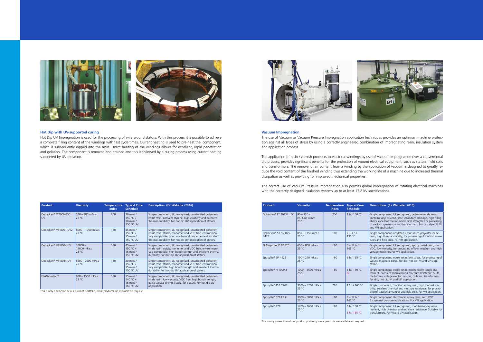This is only a selection of our product portfolio, more products are available on request.



| Description (Ex Website /2016) |
|--------------------------------|
|                                |

| <b>Product</b>                   | <b>Viscosity</b>                              | <b>Temperature</b><br><b>Index</b> | <b>Typical Cure</b><br><b>Schedule</b> |  |
|----------------------------------|-----------------------------------------------|------------------------------------|----------------------------------------|--|
| Dobeckan® FT 2015/EK             | $90 - 120s$<br>ISO Cup 4 mm<br>$23^{\circ}$ C | 200                                | 1 h / 150 °C                           |  |
| Dobeckan® ST NV 075-<br>4475     | $850 - 1150$ mPa.s<br>$23^{\circ}$ C          | 180                                | $2 - 3h/$<br>130 °C                    |  |
| ELAN-protect <sup>®</sup> EP 420 | $650 - 800$ mPa.s<br>$25^{\circ}$ C           | 180                                | $6 - 12 h/$<br>165 °C                  |  |
| Epoxylite® EIP 4526              | $190 - 210$ mPa.s<br>$25^{\circ}$ C           | 180                                | 6 h/165 °C                             |  |
| Epoxylite® H 1009 #              | 1000 - 3500 mPa.s<br>$25^{\circ}$ C           | 180                                | 6 h / 130 °C<br>or                     |  |
| Epoxylite® TSA 220S              | 3300 - 5700 mPa.s<br>$25^{\circ}$ C           | 220                                | 12 h / 165 °C                          |  |
| Epoxylite® 578 EB #              | 3000 - 5000 mPa.s<br>25 °C                    | 180                                | $8 - 12 h/$<br>165 °C                  |  |
| Epoxylite® 478                   | 1700 - 2600 mPa.s<br>25 °C                    | 180                                | 6 h / 150 °C<br>3 h / 165 °C           |  |

| 200 | 1 h / 150 °C               | Single component, UL recognised, polyester-imide resin,<br>contains vinyl toluene, little secondary drainage, high filling<br>ability, excellent thermomechanical strength. For processing<br>of motors, generators and transformers. For dip, dip-roll, VI<br>and VPI application. |
|-----|----------------------------|-------------------------------------------------------------------------------------------------------------------------------------------------------------------------------------------------------------------------------------------------------------------------------------|
| 180 | $2 - 3h/$<br>130 °C        | Single component, acrylated unsaturated polyester-imide<br>resin, high thermal stability, for processing of traction arma-<br>tures and field coils. For VPI application.                                                                                                           |
| 180 | $6 - 12 h/$<br>165 °C      | Single component, UL recognised, epoxy based resin, low<br>VOC, low viscosity, for processing of low, medium and high<br>voltage machines.For VPI application.                                                                                                                      |
| 180 | 6 h/165 °C                 | Single component, epoxy resin, low stress, for processing of<br>wound magnetic cores. For dip, hot dip, VI and VPI appli-<br>cation.                                                                                                                                                |
| 180 | 6 h/130 °C<br>$\alpha$     | Single component, epoxy resin, mechanically tough and<br>resilient, excellent chemical and moisture resistance. Suita-<br>ble for low voltage electric motors, coils and transformers.<br>For dip, hot dip, VI and VPI application.                                                 |
| 220 | 12 h / 165 °C              | Single component, modified epoxy resin, high thermal sta-<br>bility, excellent chemical and moisture resistance, for proces-<br>sing of traction armatures and field coils. For VPI application.                                                                                    |
| 180 | $8 - 12 h/$<br>165 °C      | Single component, thixotropic epoxy resin, zero VOC,<br>for general purpose applications. For VPI application.                                                                                                                                                                      |
| 180 | 6 h / 150 °C<br>3 h/165 °C | Single component, UL recognised, modified epoxy resin,<br>resilient, high chemical and moisture resistance. Suitable for<br>transformers. For VI and VPI application.                                                                                                               |

The correct use of Vacuum Pressure Impregnation also permits global impregnation of rotating electrical machines with the correctly designed insulation systems up to at least 13.8 kV specifications.

#### **Vacuum Impregnation**

The use of Vacuum or Vacuum Pressure Impregnation application techniques provides an optimum machine protection against all types of stress by using a correctly engineered combination of impregnating resin, insulation system and application process.

The application of resin / varnish products to electrical windings by use of Vacuum Impregnation over a conventional dip process, provides significant benefits for the protection of wound electrical equipment, such as stators, field coils and transformers. The removal of air content from a winding by the application of vacuum is designed to greatly reduce the void content of the finished winding thus extending the working life of a machine due to increased thermal dissipation as well as providing for improved mechanical properties.

| <b>Product</b>             | Viscositv                                  | <b>Temperature</b><br><b>Index</b> | <b>Typical Cure</b><br><b>Schedule</b>                                | Description (Ex Website /2016)                                                                                                                                                                                                                |
|----------------------------|--------------------------------------------|------------------------------------|-----------------------------------------------------------------------|-----------------------------------------------------------------------------------------------------------------------------------------------------------------------------------------------------------------------------------------------|
| Dobeckan® FT2006-350<br>UV | 340 - 380 mPa.s<br>$23^{\circ}$ C          | 200                                | $30 \text{ mins}$ /<br>150 °C +<br>10 mins $/$<br>150 °C UV           | Single component, UL recognised, unsaturated polyester-<br>imide resin, contains styrene, high elasticity and excellent<br>thermal durability. For hot dip UV application of stators.                                                         |
| Dobeckan® MF 8001 UV2      | 8000 - 1000 mPa.s<br>23 °C                 | 180                                | $45$ mins /<br>150 °C +<br>15 mins $/$<br>150 °C UV                   | Single component, UL recognised, unsaturated polyester-<br>imide resin, stable, monomer and VOC free, environmen-<br>tally compatible, good mechanical properties and excellent<br>thermal durability. For hot dip UV application of stators. |
| Dobeckan® MF 8004 UV       | $10000 -$<br>12000 mPa.s<br>$23^{\circ}$ C | 180                                | 45 mins /<br>150 °C +<br>15 mins $/$<br>150 °C UV                     | Single component, UL recognised, unsaturated polyester-<br>imide resin, stable, monomer and VOC free, environmen-<br>tally compatible, high bond strength and excellent thermal<br>durability. For hot dip UV application of stators.         |
| Dobeckan® MF 8044 UV       | 6500 - 7500 mPa.s<br>$23^{\circ}$ C        | 180                                | $30 \text{ mins}$ /<br>$150 °C +$<br>$15 \text{ mins}$ /<br>150 °C UV | Single component, UL recognised, unsaturated polyester-<br>imide resin, stable, monomer and VOC free, environmen-<br>tally compatible, high bond strength and excellent thermal<br>durability. For hot dip UV application of stators.         |
| ELAN-protect <sup>®</sup>  | $900 - 1500$ mPa.s<br>23 °C                | 180                                | 15 mins $/$<br>140 °C +<br>$15 \text{ mins}$ /<br>160 °C UV           | Single component, UL recognised, unsaturated polyester-<br>imide resin, low viscosity, VOC free, high bond strength,<br>quick surface drying, stable, for stators. For hot dip UV<br>application.                                             |

This is only a selection of our product portfolio, more products are available on request





#### **Hot Dip with UV-supported curing**

Hot Dip UV Impregnation is used for the processing of wire wound stators. With this process it is possible to achieve a complete filling content of the windings with fast cycle times. Current heating is used to pre-heat the component, which is subsequently dipped into the resin. Direct heating of the windings allows for excellent, rapid penetration and gelation. The component is removed and drained and this is followed by a curing process using current heating supported by UV radiation.